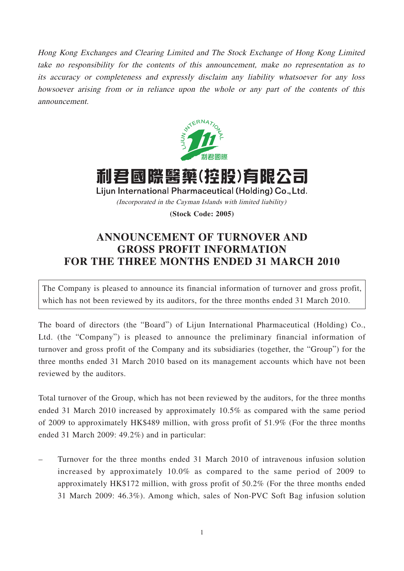Hong Kong Exchanges and Clearing Limited and The Stock Exchange of Hong Kong Limited take no responsibility for the contents of this announcement, make no representation as to its accuracy or completeness and expressly disclaim any liability whatsoever for any loss howsoever arising from or in reliance upon the whole or any part of the contents of this announcement.



利君國際醫藥(控股)有限公司 Lijun International Pharmaceutical (Holding) Co., Ltd. (Incorporated in the Cayman Islands with limited liability)

**(Stock Code: 2005)**

## **ANNOUNCEMENT OF TURNOVER AND GROSS PROFIT INFORMATION FOR THE THREE MONTHS ENDED 31 MARCH 2010**

The Company is pleased to announce its financial information of turnover and gross profit, which has not been reviewed by its auditors, for the three months ended 31 March 2010.

The board of directors (the "Board") of Lijun International Pharmaceutical (Holding) Co., Ltd. (the "Company") is pleased to announce the preliminary financial information of turnover and gross profit of the Company and its subsidiaries (together, the "Group") for the three months ended 31 March 2010 based on its management accounts which have not been reviewed by the auditors.

Total turnover of the Group, which has not been reviewed by the auditors, for the three months ended 31 March 2010 increased by approximately 10.5% as compared with the same period of 2009 to approximately HK\$489 million, with gross profit of 51.9% (For the three months ended 31 March 2009: 49.2%) and in particular:

– Turnover for the three months ended 31 March 2010 of intravenous infusion solution increased by approximately 10.0% as compared to the same period of 2009 to approximately HK\$172 million, with gross profit of 50.2% (For the three months ended 31 March 2009: 46.3%). Among which, sales of Non-PVC Soft Bag infusion solution